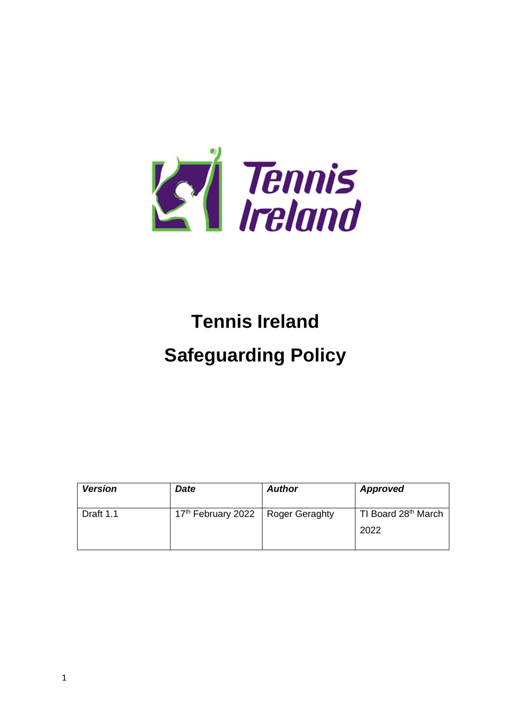

# **Tennis Ireland**

# **Safeguarding Policy**

| <b>Version</b> | <b>Date</b>                    | <b>Author</b>  | Approved                                |
|----------------|--------------------------------|----------------|-----------------------------------------|
| Draft 1.1      | 17 <sup>th</sup> February 2022 | Roger Geraghty | TI Board 28 <sup>th</sup> March<br>2022 |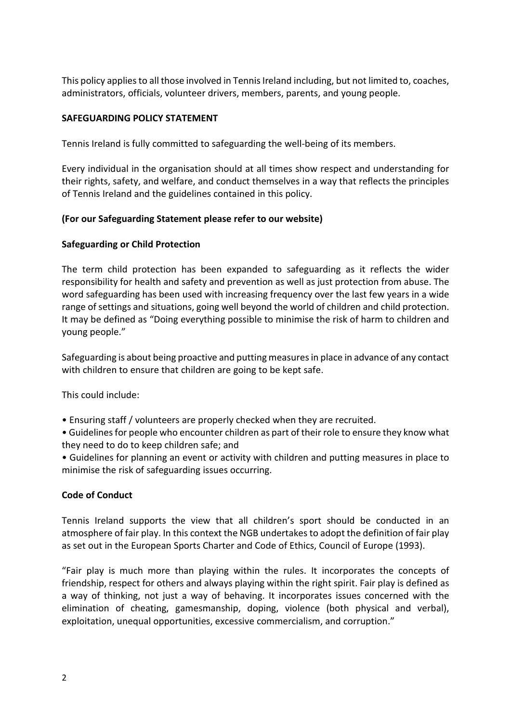This policy applies to all those involved in Tennis Ireland including, but not limited to, coaches, administrators, officials, volunteer drivers, members, parents, and young people.

### **SAFEGUARDING POLICY STATEMENT**

Tennis Ireland is fully committed to safeguarding the well-being of its members.

Every individual in the organisation should at all times show respect and understanding for their rights, safety, and welfare, and conduct themselves in a way that reflects the principles of Tennis Ireland and the guidelines contained in this policy.

#### **(For our Safeguarding Statement please refer to our website)**

#### **Safeguarding or Child Protection**

The term child protection has been expanded to safeguarding as it reflects the wider responsibility for health and safety and prevention as well as just protection from abuse. The word safeguarding has been used with increasing frequency over the last few years in a wide range of settings and situations, going well beyond the world of children and child protection. It may be defined as "Doing everything possible to minimise the risk of harm to children and young people."

Safeguarding is about being proactive and putting measuresin place in advance of any contact with children to ensure that children are going to be kept safe.

This could include:

• Ensuring staff / volunteers are properly checked when they are recruited.

• Guidelines for people who encounter children as part of their role to ensure they know what they need to do to keep children safe; and

• Guidelines for planning an event or activity with children and putting measures in place to minimise the risk of safeguarding issues occurring.

## **Code of Conduct**

Tennis Ireland supports the view that all children's sport should be conducted in an atmosphere of fair play. In this context the NGB undertakes to adopt the definition of fair play as set out in the European Sports Charter and Code of Ethics, Council of Europe (1993).

"Fair play is much more than playing within the rules. It incorporates the concepts of friendship, respect for others and always playing within the right spirit. Fair play is defined as a way of thinking, not just a way of behaving. It incorporates issues concerned with the elimination of cheating, gamesmanship, doping, violence (both physical and verbal), exploitation, unequal opportunities, excessive commercialism, and corruption."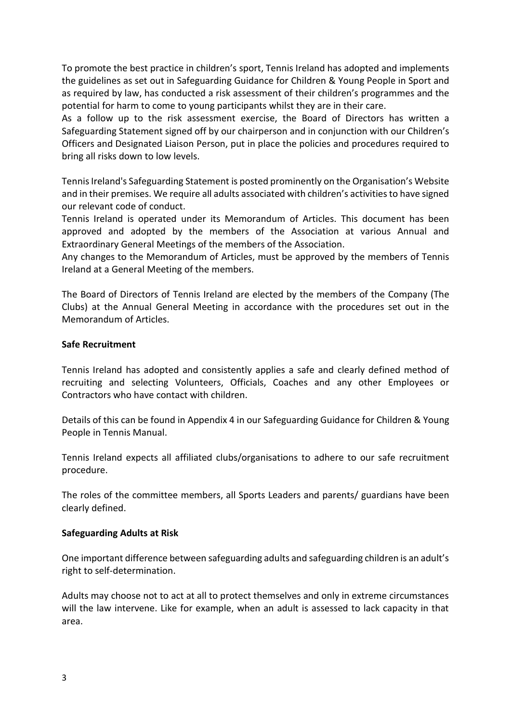To promote the best practice in children's sport, Tennis Ireland has adopted and implements the guidelines as set out in Safeguarding Guidance for Children & Young People in Sport and as required by law, has conducted a risk assessment of their children's programmes and the potential for harm to come to young participants whilst they are in their care.

As a follow up to the risk assessment exercise, the Board of Directors has written a Safeguarding Statement signed off by our chairperson and in conjunction with our Children's Officers and Designated Liaison Person, put in place the policies and procedures required to bring all risks down to low levels.

Tennis Ireland's Safeguarding Statement is posted prominently on the Organisation's Website and in their premises. We require all adults associated with children's activitiesto have signed our relevant code of conduct.

Tennis Ireland is operated under its Memorandum of Articles. This document has been approved and adopted by the members of the Association at various Annual and Extraordinary General Meetings of the members of the Association.

Any changes to the Memorandum of Articles, must be approved by the members of Tennis Ireland at a General Meeting of the members.

The Board of Directors of Tennis Ireland are elected by the members of the Company (The Clubs) at the Annual General Meeting in accordance with the procedures set out in the Memorandum of Articles.

#### **Safe Recruitment**

Tennis Ireland has adopted and consistently applies a safe and clearly defined method of recruiting and selecting Volunteers, Officials, Coaches and any other Employees or Contractors who have contact with children.

Details of this can be found in Appendix 4 in our Safeguarding Guidance for Children & Young People in Tennis Manual.

Tennis Ireland expects all affiliated clubs/organisations to adhere to our safe recruitment procedure.

The roles of the committee members, all Sports Leaders and parents/ guardians have been clearly defined.

#### **Safeguarding Adults at Risk**

One important difference between safeguarding adults and safeguarding children is an adult's right to self-determination.

Adults may choose not to act at all to protect themselves and only in extreme circumstances will the law intervene. Like for example, when an adult is assessed to lack capacity in that area.